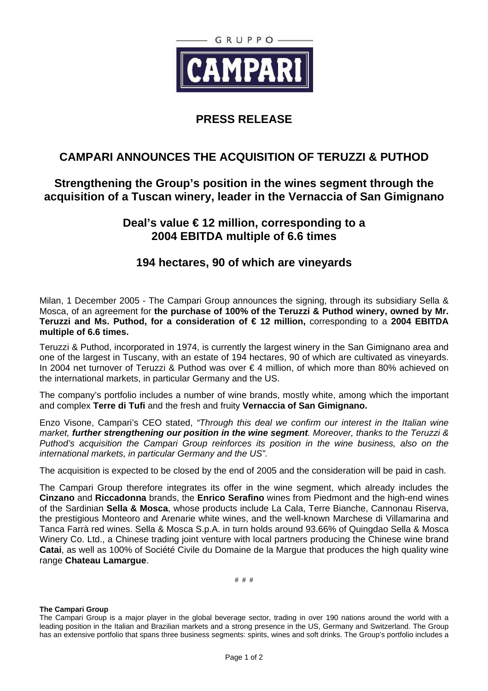

# **PRESS RELEASE**

## **CAMPARI ANNOUNCES THE ACQUISITION OF TERUZZI & PUTHOD**

## **Strengthening the Group's position in the wines segment through the acquisition of a Tuscan winery, leader in the Vernaccia of San Gimignano**

### **Deal's value € 12 million, corresponding to a 2004 EBITDA multiple of 6.6 times**

### **194 hectares, 90 of which are vineyards**

Milan, 1 December 2005 - The Campari Group announces the signing, through its subsidiary Sella & Mosca, of an agreement for **the purchase of 100% of the Teruzzi & Puthod winery, owned by Mr. Teruzzi and Ms. Puthod, for a consideration of € 12 million,** corresponding to a **2004 EBITDA multiple of 6.6 times.** 

Teruzzi & Puthod, incorporated in 1974, is currently the largest winery in the San Gimignano area and one of the largest in Tuscany, with an estate of 194 hectares, 90 of which are cultivated as vineyards. In 2004 net turnover of Teruzzi & Puthod was over € 4 million, of which more than 80% achieved on the international markets, in particular Germany and the US.

The company's portfolio includes a number of wine brands, mostly white, among which the important and complex **Terre di Tufi** and the fresh and fruity **Vernaccia of San Gimignano.** 

Enzo Visone, Campari's CEO stated, "Through this deal we confirm our interest in the Italian wine market, **further strengthening our position in the wine segment**. Moreover, thanks to the Teruzzi & Puthod's acquisition the Campari Group reinforces its position in the wine business, also on the international markets, in particular Germany and the US".

The acquisition is expected to be closed by the end of 2005 and the consideration will be paid in cash.

The Campari Group therefore integrates its offer in the wine segment, which already includes the **Cinzano** and **Riccadonna** brands, the **Enrico Serafino** wines from Piedmont and the high-end wines of the Sardinian **Sella & Mosca**, whose products include La Cala, Terre Bianche, Cannonau Riserva, the prestigious Monteoro and Arenarie white wines, and the well-known Marchese di Villamarina and Tanca Farrà red wines. Sella & Mosca S.p.A. in turn holds around 93.66% of Quingdao Sella & Mosca Winery Co. Ltd., a Chinese trading joint venture with local partners producing the Chinese wine brand **Catai**, as well as 100% of Société Civile du Domaine de la Margue that produces the high quality wine range **Chateau Lamargue**.

# # #

#### **The Campari Group**

The Campari Group is a major player in the global beverage sector, trading in over 190 nations around the world with a leading position in the Italian and Brazilian markets and a strong presence in the US, Germany and Switzerland. The Group has an extensive portfolio that spans three business segments: spirits, wines and soft drinks. The Group's portfolio includes a